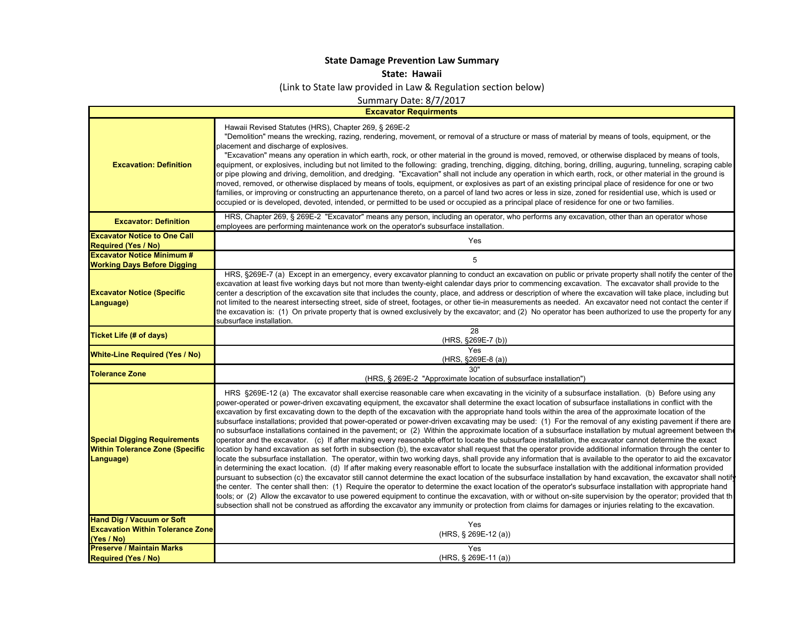## **State Damage Prevention Law Summary**

## **State: Hawaii**

(Link to State law provided in Law & Regulation section below)

Summary Date: 8/7/2017

|                                                                                            | <b>Excavator Requirments</b>                                                                                                                                                                                                                                                                                                                                                                                                                                                                                                                                                                                                                                                                                                                                                                                                                                                                                                                                                                                                                                                                                                                                                                                                                                                                                                                                                                                                                                                                                                                                                                                                                                                                                                                                                                                                                                                                                                                                                                                                                                                                                                |  |
|--------------------------------------------------------------------------------------------|-----------------------------------------------------------------------------------------------------------------------------------------------------------------------------------------------------------------------------------------------------------------------------------------------------------------------------------------------------------------------------------------------------------------------------------------------------------------------------------------------------------------------------------------------------------------------------------------------------------------------------------------------------------------------------------------------------------------------------------------------------------------------------------------------------------------------------------------------------------------------------------------------------------------------------------------------------------------------------------------------------------------------------------------------------------------------------------------------------------------------------------------------------------------------------------------------------------------------------------------------------------------------------------------------------------------------------------------------------------------------------------------------------------------------------------------------------------------------------------------------------------------------------------------------------------------------------------------------------------------------------------------------------------------------------------------------------------------------------------------------------------------------------------------------------------------------------------------------------------------------------------------------------------------------------------------------------------------------------------------------------------------------------------------------------------------------------------------------------------------------------|--|
| <b>Excavation: Definition</b>                                                              | Hawaii Revised Statutes (HRS), Chapter 269, § 269E-2<br>"Demolition" means the wrecking, razing, rendering, movement, or removal of a structure or mass of material by means of tools, equipment, or the<br>placement and discharge of explosives.<br>"Excavation" means any operation in which earth, rock, or other material in the ground is moved, removed, or otherwise displaced by means of tools,<br>equipment, or explosives, including but not limited to the following: grading, trenching, digging, ditching, boring, drilling, auguring, tunneling, scraping cable<br>or pipe plowing and driving, demolition, and dredging. "Excavation" shall not include any operation in which earth, rock, or other material in the ground is<br>moved, removed, or otherwise displaced by means of tools, equipment, or explosives as part of an existing principal place of residence for one or two<br>families, or improving or constructing an appurtenance thereto, on a parcel of land two acres or less in size, zoned for residential use, which is used or<br>occupied or is developed, devoted, intended, or permitted to be used or occupied as a principal place of residence for one or two families.                                                                                                                                                                                                                                                                                                                                                                                                                                                                                                                                                                                                                                                                                                                                                                                                                                                                                                       |  |
| <b>Excavator: Definition</b>                                                               | HRS, Chapter 269, § 269E-2 "Excavator" means any person, including an operator, who performs any excavation, other than an operator whose<br>employees are performing maintenance work on the operator's subsurface installation.                                                                                                                                                                                                                                                                                                                                                                                                                                                                                                                                                                                                                                                                                                                                                                                                                                                                                                                                                                                                                                                                                                                                                                                                                                                                                                                                                                                                                                                                                                                                                                                                                                                                                                                                                                                                                                                                                           |  |
| <b>Excavator Notice to One Call</b>                                                        | Yes                                                                                                                                                                                                                                                                                                                                                                                                                                                                                                                                                                                                                                                                                                                                                                                                                                                                                                                                                                                                                                                                                                                                                                                                                                                                                                                                                                                                                                                                                                                                                                                                                                                                                                                                                                                                                                                                                                                                                                                                                                                                                                                         |  |
| <b>Required (Yes / No)</b><br><b>Excavator Notice Minimum #</b>                            |                                                                                                                                                                                                                                                                                                                                                                                                                                                                                                                                                                                                                                                                                                                                                                                                                                                                                                                                                                                                                                                                                                                                                                                                                                                                                                                                                                                                                                                                                                                                                                                                                                                                                                                                                                                                                                                                                                                                                                                                                                                                                                                             |  |
| <b>Working Days Before Digging</b>                                                         | 5                                                                                                                                                                                                                                                                                                                                                                                                                                                                                                                                                                                                                                                                                                                                                                                                                                                                                                                                                                                                                                                                                                                                                                                                                                                                                                                                                                                                                                                                                                                                                                                                                                                                                                                                                                                                                                                                                                                                                                                                                                                                                                                           |  |
| <b>Excavator Notice (Specific</b><br>Language)                                             | HRS, §269E-7 (a) Except in an emergency, every excavator planning to conduct an excavation on public or private property shall notify the center of the<br>excavation at least five working days but not more than twenty-eight calendar days prior to commencing excavation. The excavator shall provide to the<br>center a description of the excavation site that includes the county, place, and address or description of where the excavation will take place, including but<br>not limited to the nearest intersecting street, side of street, footages, or other tie-in measurements as needed. An excavator need not contact the center if<br>the excavation is: (1) On private property that is owned exclusively by the excavator; and (2) No operator has been authorized to use the property for any<br>subsurface installation.                                                                                                                                                                                                                                                                                                                                                                                                                                                                                                                                                                                                                                                                                                                                                                                                                                                                                                                                                                                                                                                                                                                                                                                                                                                                               |  |
| <b>Ticket Life (# of days)</b>                                                             | 28<br>(HRS, §269E-7 (b))                                                                                                                                                                                                                                                                                                                                                                                                                                                                                                                                                                                                                                                                                                                                                                                                                                                                                                                                                                                                                                                                                                                                                                                                                                                                                                                                                                                                                                                                                                                                                                                                                                                                                                                                                                                                                                                                                                                                                                                                                                                                                                    |  |
| <b>White-Line Required (Yes / No)</b>                                                      | Yes<br>(HRS, §269E-8 (a))                                                                                                                                                                                                                                                                                                                                                                                                                                                                                                                                                                                                                                                                                                                                                                                                                                                                                                                                                                                                                                                                                                                                                                                                                                                                                                                                                                                                                                                                                                                                                                                                                                                                                                                                                                                                                                                                                                                                                                                                                                                                                                   |  |
| <b>Tolerance Zone</b>                                                                      | 30"<br>(HRS, § 269E-2 "Approximate location of subsurface installation")                                                                                                                                                                                                                                                                                                                                                                                                                                                                                                                                                                                                                                                                                                                                                                                                                                                                                                                                                                                                                                                                                                                                                                                                                                                                                                                                                                                                                                                                                                                                                                                                                                                                                                                                                                                                                                                                                                                                                                                                                                                    |  |
| <b>Special Digging Requirements</b><br><b>Within Tolerance Zone (Specific</b><br>Language) | HRS §269E-12 (a) The excavator shall exercise reasonable care when excavating in the vicinity of a subsurface installation. (b) Before using any<br>power-operated or power-driven excavating equipment, the excavator shall determine the exact location of subsurface installations in conflict with the<br>excavation by first excavating down to the depth of the excavation with the appropriate hand tools within the area of the approximate location of the<br>subsurface installations; provided that power-operated or power-driven excavating may be used: (1) For the removal of any existing pavement if there are<br>no subsurface installations contained in the pavement; or (2) Within the approximate location of a subsurface installation by mutual agreement between the<br>operator and the excavator. (c) If after making every reasonable effort to locate the subsurface installation, the excavator cannot determine the exact<br>location by hand excavation as set forth in subsection (b), the excavator shall request that the operator provide additional information through the center to<br>locate the subsurface installation. The operator, within two working days, shall provide any information that is available to the operator to aid the excavator<br>in determining the exact location. (d) If after making every reasonable effort to locate the subsurface installation with the additional information provided<br>pursuant to subsection (c) the excavator still cannot determine the exact location of the subsurface installation by hand excavation, the excavator shall notif<br>the center. The center shall then: (1) Require the operator to determine the exact location of the operator's subsurface installation with appropriate hand<br>tools; or (2) Allow the excavator to use powered equipment to continue the excavation, with or without on-site supervision by the operator; provided that th<br>subsection shall not be construed as affording the excavator any immunity or protection from claims for damages or injuries relating to the excavation. |  |
| <b>Hand Dig / Vacuum or Soft</b><br><b>Excavation Within Tolerance Zone</b><br>(Yes / No)  | Yes<br>(HRS, § 269E-12 (a))                                                                                                                                                                                                                                                                                                                                                                                                                                                                                                                                                                                                                                                                                                                                                                                                                                                                                                                                                                                                                                                                                                                                                                                                                                                                                                                                                                                                                                                                                                                                                                                                                                                                                                                                                                                                                                                                                                                                                                                                                                                                                                 |  |
| <b>Preserve / Maintain Marks</b>                                                           | Yes                                                                                                                                                                                                                                                                                                                                                                                                                                                                                                                                                                                                                                                                                                                                                                                                                                                                                                                                                                                                                                                                                                                                                                                                                                                                                                                                                                                                                                                                                                                                                                                                                                                                                                                                                                                                                                                                                                                                                                                                                                                                                                                         |  |
| <b>Required (Yes / No)</b>                                                                 | (HRS, § 269E-11 (a))                                                                                                                                                                                                                                                                                                                                                                                                                                                                                                                                                                                                                                                                                                                                                                                                                                                                                                                                                                                                                                                                                                                                                                                                                                                                                                                                                                                                                                                                                                                                                                                                                                                                                                                                                                                                                                                                                                                                                                                                                                                                                                        |  |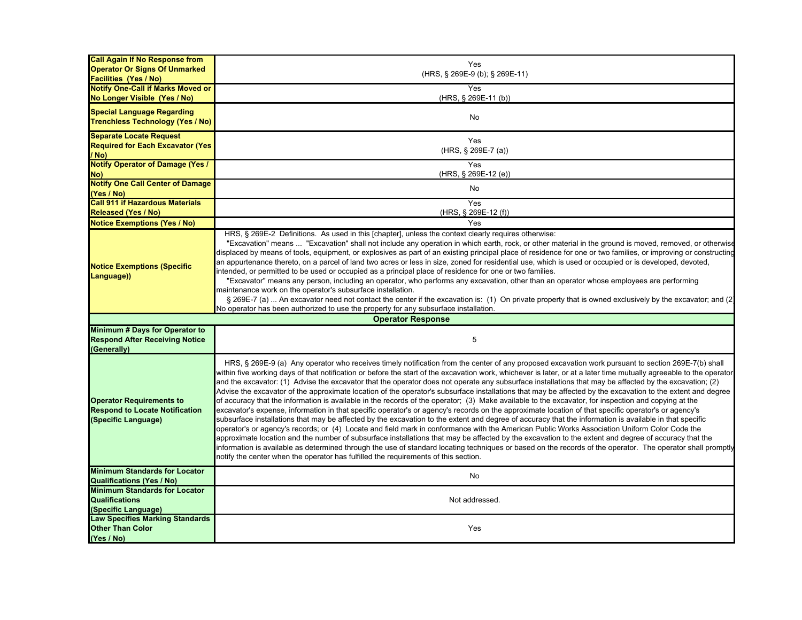| <b>Call Again If No Response from</b>                         | Yes                                                                                                                                                                                                                                                                                                   |
|---------------------------------------------------------------|-------------------------------------------------------------------------------------------------------------------------------------------------------------------------------------------------------------------------------------------------------------------------------------------------------|
| <b>Operator Or Signs Of Unmarked</b>                          | (HRS, § 269E-9 (b); § 269E-11)                                                                                                                                                                                                                                                                        |
| <b>Facilities (Yes / No)</b>                                  |                                                                                                                                                                                                                                                                                                       |
| <b>Notify One-Call if Marks Moved or</b>                      | Yes<br>(HRS, § 269E-11 (b))                                                                                                                                                                                                                                                                           |
| No Longer Visible (Yes / No)                                  |                                                                                                                                                                                                                                                                                                       |
| <b>Special Language Regarding</b>                             | No                                                                                                                                                                                                                                                                                                    |
| <b>Trenchless Technology (Yes / No)</b>                       |                                                                                                                                                                                                                                                                                                       |
| <b>Separate Locate Request</b>                                |                                                                                                                                                                                                                                                                                                       |
| <b>Required for Each Excavator (Yes)</b>                      | Yes                                                                                                                                                                                                                                                                                                   |
| / No)                                                         | (HRS, § 269E-7 (a))                                                                                                                                                                                                                                                                                   |
| <b>Notify Operator of Damage (Yes /</b>                       | Yes                                                                                                                                                                                                                                                                                                   |
| No)                                                           | (HRS, § 269E-12 (e))                                                                                                                                                                                                                                                                                  |
| <b>Notify One Call Center of Damage</b>                       | No                                                                                                                                                                                                                                                                                                    |
| (Yes / No)                                                    |                                                                                                                                                                                                                                                                                                       |
| <b>Call 911 if Hazardous Materials</b>                        | Yes                                                                                                                                                                                                                                                                                                   |
| <b>Released (Yes / No)</b>                                    | (HRS, § 269E-12 (f))                                                                                                                                                                                                                                                                                  |
| <b>Notice Exemptions (Yes / No)</b>                           | Yes                                                                                                                                                                                                                                                                                                   |
|                                                               | HRS, § 269E-2 Definitions. As used in this [chapter], unless the context clearly requires otherwise:                                                                                                                                                                                                  |
|                                                               | "Excavation" means  "Excavation" shall not include any operation in which earth, rock, or other material in the ground is moved, removed, or otherwise                                                                                                                                                |
|                                                               | displaced by means of tools, equipment, or explosives as part of an existing principal place of residence for one or two families, or improving or constructing                                                                                                                                       |
| <b>Notice Exemptions (Specific</b>                            | an appurtenance thereto, on a parcel of land two acres or less in size, zoned for residential use, which is used or occupied or is developed, devoted,                                                                                                                                                |
| Language))                                                    | intended, or permitted to be used or occupied as a principal place of residence for one or two families.                                                                                                                                                                                              |
|                                                               | "Excavator" means any person, including an operator, who performs any excavation, other than an operator whose employees are performing                                                                                                                                                               |
|                                                               | maintenance work on the operator's subsurface installation.                                                                                                                                                                                                                                           |
|                                                               | § 269E-7 (a)  An excavator need not contact the center if the excavation is: (1) On private property that is owned exclusively by the excavator; and (2)<br>No operator has been authorized to use the property for any subsurface installation.                                                      |
|                                                               | <b>Operator Response</b>                                                                                                                                                                                                                                                                              |
| Minimum # Days for Operator to                                |                                                                                                                                                                                                                                                                                                       |
| <b>Respond After Receiving Notice</b>                         | 5                                                                                                                                                                                                                                                                                                     |
| (Generally)                                                   |                                                                                                                                                                                                                                                                                                       |
|                                                               |                                                                                                                                                                                                                                                                                                       |
|                                                               | HRS, § 269E-9 (a) Any operator who receives timely notification from the center of any proposed excavation work pursuant to section 269E-7(b) shall                                                                                                                                                   |
|                                                               | within five working days of that notification or before the start of the excavation work, whichever is later, or at a later time mutually agreeable to the operator                                                                                                                                   |
|                                                               | and the excavator: (1) Advise the excavator that the operator does not operate any subsurface installations that may be affected by the excavation; (2)                                                                                                                                               |
|                                                               | Advise the excavator of the approximate location of the operator's subsurface installations that may be affected by the excavation to the extent and degree                                                                                                                                           |
| <b>Operator Requirements to</b>                               | of accuracy that the information is available in the records of the operator; (3) Make available to the excavator, for inspection and copying at the                                                                                                                                                  |
| <b>Respond to Locate Notification</b>                         | excavator's expense, information in that specific operator's or agency's records on the approximate location of that specific operator's or agency's                                                                                                                                                  |
| (Specific Language)                                           | subsurface installations that may be affected by the excavation to the extent and degree of accuracy that the information is available in that specific                                                                                                                                               |
|                                                               | operator's or agency's records; or (4) Locate and field mark in conformance with the American Public Works Association Uniform Color Code the<br>approximate location and the number of subsurface installations that may be affected by the excavation to the extent and degree of accuracy that the |
|                                                               | information is available as determined through the use of standard locating techniques or based on the records of the operator. The operator shall promptly                                                                                                                                           |
|                                                               | notify the center when the operator has fulfilled the requirements of this section.                                                                                                                                                                                                                   |
|                                                               |                                                                                                                                                                                                                                                                                                       |
| <b>Minimum Standards for Locator</b>                          | No                                                                                                                                                                                                                                                                                                    |
| <b>Qualifications (Yes / No)</b>                              |                                                                                                                                                                                                                                                                                                       |
| <b>Minimum Standards for Locator</b>                          |                                                                                                                                                                                                                                                                                                       |
| <b>Qualifications</b>                                         | Not addressed.                                                                                                                                                                                                                                                                                        |
| (Specific Language)<br><b>Law Specifies Marking Standards</b> |                                                                                                                                                                                                                                                                                                       |
| <b>Other Than Color</b>                                       | Yes                                                                                                                                                                                                                                                                                                   |
| (Yes / No)                                                    |                                                                                                                                                                                                                                                                                                       |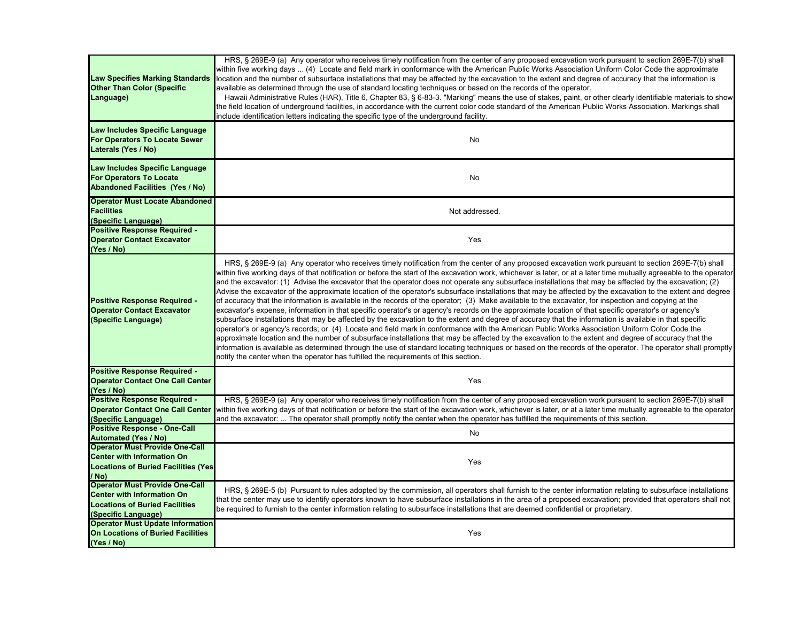| <b>Law Specifies Marking Standards</b><br><b>Other Than Color (Specific</b><br>Language)                                                   | HRS, § 269E-9 (a) Any operator who receives timely notification from the center of any proposed excavation work pursuant to section 269E-7(b) shall<br>within five working days  (4) Locate and field mark in conformance with the American Public Works Association Uniform Color Code the approximate<br>location and the number of subsurface installations that may be affected by the excavation to the extent and degree of accuracy that the information is<br>available as determined through the use of standard locating techniques or based on the records of the operator.<br>Hawaii Administrative Rules (HAR), Title 6, Chapter 83, § 6-83-3. "Marking" means the use of stakes, paint, or other clearly identifiable materials to show<br>the field location of underground facilities, in accordance with the current color code standard of the American Public Works Association. Markings shall<br>include identification letters indicating the specific type of the underground facility.                                                                                                                                                                                                                                                                                                                                                                                                                                                                                                                                                                                                                                                                                 |
|--------------------------------------------------------------------------------------------------------------------------------------------|------------------------------------------------------------------------------------------------------------------------------------------------------------------------------------------------------------------------------------------------------------------------------------------------------------------------------------------------------------------------------------------------------------------------------------------------------------------------------------------------------------------------------------------------------------------------------------------------------------------------------------------------------------------------------------------------------------------------------------------------------------------------------------------------------------------------------------------------------------------------------------------------------------------------------------------------------------------------------------------------------------------------------------------------------------------------------------------------------------------------------------------------------------------------------------------------------------------------------------------------------------------------------------------------------------------------------------------------------------------------------------------------------------------------------------------------------------------------------------------------------------------------------------------------------------------------------------------------------------------------------------------------------------------------------------------------|
| Law Includes Specific Language<br>For Operators To Locate Sewer<br>Laterals (Yes / No)                                                     | No                                                                                                                                                                                                                                                                                                                                                                                                                                                                                                                                                                                                                                                                                                                                                                                                                                                                                                                                                                                                                                                                                                                                                                                                                                                                                                                                                                                                                                                                                                                                                                                                                                                                                             |
| Law Includes Specific Language<br><b>For Operators To Locate</b><br><b>Abandoned Facilities (Yes / No)</b>                                 | No                                                                                                                                                                                                                                                                                                                                                                                                                                                                                                                                                                                                                                                                                                                                                                                                                                                                                                                                                                                                                                                                                                                                                                                                                                                                                                                                                                                                                                                                                                                                                                                                                                                                                             |
| <b>Operator Must Locate Abandoned</b><br><b>Facilities</b><br>(Specific Language)                                                          | Not addressed.                                                                                                                                                                                                                                                                                                                                                                                                                                                                                                                                                                                                                                                                                                                                                                                                                                                                                                                                                                                                                                                                                                                                                                                                                                                                                                                                                                                                                                                                                                                                                                                                                                                                                 |
| <b>Positive Response Required -</b><br><b>Operator Contact Excavator</b><br>(Yes / No)                                                     | Yes                                                                                                                                                                                                                                                                                                                                                                                                                                                                                                                                                                                                                                                                                                                                                                                                                                                                                                                                                                                                                                                                                                                                                                                                                                                                                                                                                                                                                                                                                                                                                                                                                                                                                            |
| <b>Positive Response Required -</b><br><b>Operator Contact Excavator</b><br>(Specific Language)                                            | HRS, § 269E-9 (a) Any operator who receives timely notification from the center of any proposed excavation work pursuant to section 269E-7(b) shall<br>within five working days of that notification or before the start of the excavation work, whichever is later, or at a later time mutually agreeable to the operator<br>and the excavator: (1) Advise the excavator that the operator does not operate any subsurface installations that may be affected by the excavation; (2)<br>Advise the excavator of the approximate location of the operator's subsurface installations that may be affected by the excavation to the extent and degree<br>of accuracy that the information is available in the records of the operator; (3) Make available to the excavator, for inspection and copying at the<br>excavator's expense, information in that specific operator's or agency's records on the approximate location of that specific operator's or agency's<br>subsurface installations that may be affected by the excavation to the extent and degree of accuracy that the information is available in that specific<br>operator's or agency's records; or (4) Locate and field mark in conformance with the American Public Works Association Uniform Color Code the<br>approximate location and the number of subsurface installations that may be affected by the excavation to the extent and degree of accuracy that the<br>information is available as determined through the use of standard locating techniques or based on the records of the operator. The operator shall promptly<br>notify the center when the operator has fulfilled the requirements of this section. |
| <b>Positive Response Required -</b><br><b>Operator Contact One Call Center</b><br>(Yes / No)                                               | Yes                                                                                                                                                                                                                                                                                                                                                                                                                                                                                                                                                                                                                                                                                                                                                                                                                                                                                                                                                                                                                                                                                                                                                                                                                                                                                                                                                                                                                                                                                                                                                                                                                                                                                            |
| <b>Positive Response Required -</b><br><b>Operator Contact One Call Center</b><br>(Specific Language)                                      | HRS, § 269E-9 (a) Any operator who receives timely notification from the center of any proposed excavation work pursuant to section 269E-7(b) shall<br>within five working days of that notification or before the start of the excavation work, whichever is later, or at a later time mutually agreeable to the operator<br>and the excavator:  The operator shall promptly notify the center when the operator has fulfilled the requirements of this section.                                                                                                                                                                                                                                                                                                                                                                                                                                                                                                                                                                                                                                                                                                                                                                                                                                                                                                                                                                                                                                                                                                                                                                                                                              |
| <b>Positive Response - One-Call</b><br><b>Automated (Yes / No)</b>                                                                         | No                                                                                                                                                                                                                                                                                                                                                                                                                                                                                                                                                                                                                                                                                                                                                                                                                                                                                                                                                                                                                                                                                                                                                                                                                                                                                                                                                                                                                                                                                                                                                                                                                                                                                             |
| <b>Operator Must Provide One-Call</b><br><b>Center with Information On</b><br><b>Locations of Buried Facilities (Yes)</b><br>/ No)         | Yes                                                                                                                                                                                                                                                                                                                                                                                                                                                                                                                                                                                                                                                                                                                                                                                                                                                                                                                                                                                                                                                                                                                                                                                                                                                                                                                                                                                                                                                                                                                                                                                                                                                                                            |
| <b>Operator Must Provide One-Call</b><br><b>Center with Information On</b><br><b>Locations of Buried Facilities</b><br>(Specific Language) | HRS, § 269E-5 (b) Pursuant to rules adopted by the commission, all operators shall furnish to the center information relating to subsurface installations<br>that the center may use to identify operators known to have subsurface installations in the area of a proposed excavation; provided that operators shall not<br>be required to furnish to the center information relating to subsurface installations that are deemed confidential or proprietary.                                                                                                                                                                                                                                                                                                                                                                                                                                                                                                                                                                                                                                                                                                                                                                                                                                                                                                                                                                                                                                                                                                                                                                                                                                |
| <b>Operator Must Update Information</b><br><b>On Locations of Buried Facilities</b><br>(Yes / No)                                          | Yes                                                                                                                                                                                                                                                                                                                                                                                                                                                                                                                                                                                                                                                                                                                                                                                                                                                                                                                                                                                                                                                                                                                                                                                                                                                                                                                                                                                                                                                                                                                                                                                                                                                                                            |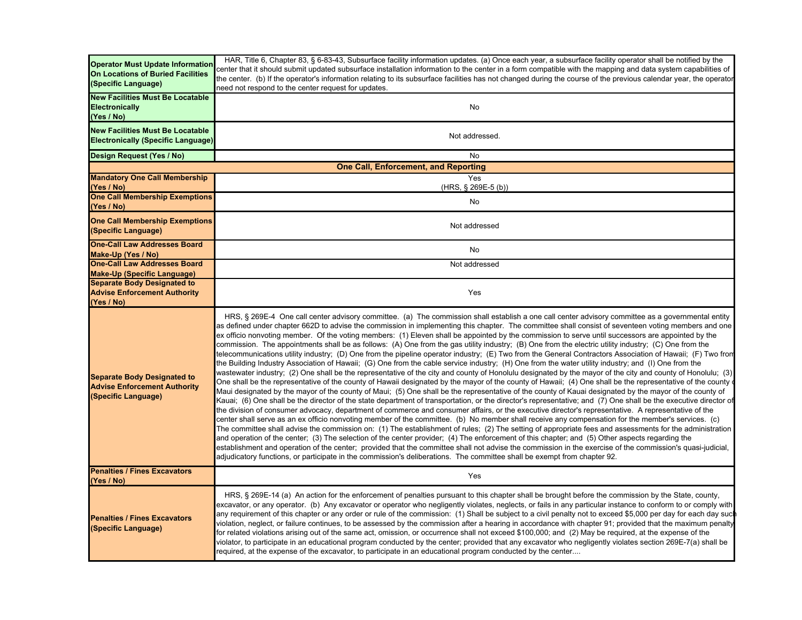| <b>Operator Must Update Information</b><br>On Locations of Buried Facilities<br>(Specific Language) | HAR, Title 6, Chapter 83, § 6-83-43, Subsurface facility information updates. (a) Once each year, a subsurface facility operator shall be notified by the<br>center that it should submit updated subsurface installation information to the center in a form compatible with the mapping and data system capabilities of<br>the center. (b) If the operator's information relating to its subsurface facilities has not changed during the course of the previous calendar year, the operator<br>need not respond to the center request for updates.                                                                                                                                                                                                                                                                                                                                                                                                                                                                                                                                                                                                                                                                                                                                                                                                                                                                                                                                                                                                                                                                                                                                                                                                                                                                                                                                                                                                                                                                                                                                                                                                                                                                                                                                                                                                                                                                                                                                                                            |  |
|-----------------------------------------------------------------------------------------------------|----------------------------------------------------------------------------------------------------------------------------------------------------------------------------------------------------------------------------------------------------------------------------------------------------------------------------------------------------------------------------------------------------------------------------------------------------------------------------------------------------------------------------------------------------------------------------------------------------------------------------------------------------------------------------------------------------------------------------------------------------------------------------------------------------------------------------------------------------------------------------------------------------------------------------------------------------------------------------------------------------------------------------------------------------------------------------------------------------------------------------------------------------------------------------------------------------------------------------------------------------------------------------------------------------------------------------------------------------------------------------------------------------------------------------------------------------------------------------------------------------------------------------------------------------------------------------------------------------------------------------------------------------------------------------------------------------------------------------------------------------------------------------------------------------------------------------------------------------------------------------------------------------------------------------------------------------------------------------------------------------------------------------------------------------------------------------------------------------------------------------------------------------------------------------------------------------------------------------------------------------------------------------------------------------------------------------------------------------------------------------------------------------------------------------------------------------------------------------------------------------------------------------------|--|
| <b>New Facilities Must Be Locatable</b><br><b>Electronically</b><br>(Yes / No)                      | No                                                                                                                                                                                                                                                                                                                                                                                                                                                                                                                                                                                                                                                                                                                                                                                                                                                                                                                                                                                                                                                                                                                                                                                                                                                                                                                                                                                                                                                                                                                                                                                                                                                                                                                                                                                                                                                                                                                                                                                                                                                                                                                                                                                                                                                                                                                                                                                                                                                                                                                               |  |
| <b>New Facilities Must Be Locatable</b><br><b>Electronically (Specific Language)</b>                | Not addressed.                                                                                                                                                                                                                                                                                                                                                                                                                                                                                                                                                                                                                                                                                                                                                                                                                                                                                                                                                                                                                                                                                                                                                                                                                                                                                                                                                                                                                                                                                                                                                                                                                                                                                                                                                                                                                                                                                                                                                                                                                                                                                                                                                                                                                                                                                                                                                                                                                                                                                                                   |  |
| Design Request (Yes / No)                                                                           | No                                                                                                                                                                                                                                                                                                                                                                                                                                                                                                                                                                                                                                                                                                                                                                                                                                                                                                                                                                                                                                                                                                                                                                                                                                                                                                                                                                                                                                                                                                                                                                                                                                                                                                                                                                                                                                                                                                                                                                                                                                                                                                                                                                                                                                                                                                                                                                                                                                                                                                                               |  |
| <b>One Call, Enforcement, and Reporting</b>                                                         |                                                                                                                                                                                                                                                                                                                                                                                                                                                                                                                                                                                                                                                                                                                                                                                                                                                                                                                                                                                                                                                                                                                                                                                                                                                                                                                                                                                                                                                                                                                                                                                                                                                                                                                                                                                                                                                                                                                                                                                                                                                                                                                                                                                                                                                                                                                                                                                                                                                                                                                                  |  |
| <b>Mandatory One Call Membership</b><br>(Yes / No)                                                  | Yes<br>(HRS, § 269E-5 (b))                                                                                                                                                                                                                                                                                                                                                                                                                                                                                                                                                                                                                                                                                                                                                                                                                                                                                                                                                                                                                                                                                                                                                                                                                                                                                                                                                                                                                                                                                                                                                                                                                                                                                                                                                                                                                                                                                                                                                                                                                                                                                                                                                                                                                                                                                                                                                                                                                                                                                                       |  |
| <b>One Call Membership Exemptions</b><br>(Yes / No)                                                 | <b>No</b>                                                                                                                                                                                                                                                                                                                                                                                                                                                                                                                                                                                                                                                                                                                                                                                                                                                                                                                                                                                                                                                                                                                                                                                                                                                                                                                                                                                                                                                                                                                                                                                                                                                                                                                                                                                                                                                                                                                                                                                                                                                                                                                                                                                                                                                                                                                                                                                                                                                                                                                        |  |
| <b>One Call Membership Exemptions</b><br>(Specific Language)                                        | Not addressed                                                                                                                                                                                                                                                                                                                                                                                                                                                                                                                                                                                                                                                                                                                                                                                                                                                                                                                                                                                                                                                                                                                                                                                                                                                                                                                                                                                                                                                                                                                                                                                                                                                                                                                                                                                                                                                                                                                                                                                                                                                                                                                                                                                                                                                                                                                                                                                                                                                                                                                    |  |
| <b>One-Call Law Addresses Board</b><br>Make-Up (Yes / No)                                           | No                                                                                                                                                                                                                                                                                                                                                                                                                                                                                                                                                                                                                                                                                                                                                                                                                                                                                                                                                                                                                                                                                                                                                                                                                                                                                                                                                                                                                                                                                                                                                                                                                                                                                                                                                                                                                                                                                                                                                                                                                                                                                                                                                                                                                                                                                                                                                                                                                                                                                                                               |  |
| <b>One-Call Law Addresses Board</b>                                                                 | Not addressed                                                                                                                                                                                                                                                                                                                                                                                                                                                                                                                                                                                                                                                                                                                                                                                                                                                                                                                                                                                                                                                                                                                                                                                                                                                                                                                                                                                                                                                                                                                                                                                                                                                                                                                                                                                                                                                                                                                                                                                                                                                                                                                                                                                                                                                                                                                                                                                                                                                                                                                    |  |
| <b>Make-Up (Specific Language)</b><br><b>Separate Body Designated to</b>                            |                                                                                                                                                                                                                                                                                                                                                                                                                                                                                                                                                                                                                                                                                                                                                                                                                                                                                                                                                                                                                                                                                                                                                                                                                                                                                                                                                                                                                                                                                                                                                                                                                                                                                                                                                                                                                                                                                                                                                                                                                                                                                                                                                                                                                                                                                                                                                                                                                                                                                                                                  |  |
| <b>Advise Enforcement Authority</b><br>(Yes / No)                                                   | Yes                                                                                                                                                                                                                                                                                                                                                                                                                                                                                                                                                                                                                                                                                                                                                                                                                                                                                                                                                                                                                                                                                                                                                                                                                                                                                                                                                                                                                                                                                                                                                                                                                                                                                                                                                                                                                                                                                                                                                                                                                                                                                                                                                                                                                                                                                                                                                                                                                                                                                                                              |  |
| <b>Separate Body Designated to</b><br><b>Advise Enforcement Authority</b><br>(Specific Language)    | HRS, § 269E-4 One call center advisory committee. (a) The commission shall establish a one call center advisory committee as a governmental entity<br>as defined under chapter 662D to advise the commission in implementing this chapter. The committee shall consist of seventeen voting members and one<br>ex officio nonvoting member. Of the voting members: (1) Eleven shall be appointed by the commission to serve until successors are appointed by the<br>commission. The appointments shall be as follows: (A) One from the gas utility industry; (B) One from the electric utility industry; (C) One from the<br>telecommunications utility industry; (D) One from the pipeline operator industry; (E) Two from the General Contractors Association of Hawaii; (F) Two from<br>the Building Industry Association of Hawaii; (G) One from the cable service industry; (H) One from the water utility industry; and (I) One from the<br>wastewater industry; (2) One shall be the representative of the city and county of Honolulu designated by the mayor of the city and county of Honolulu; (3)<br>One shall be the representative of the county of Hawaii designated by the mayor of the county of Hawaii; (4) One shall be the representative of the county<br>Maui designated by the mayor of the county of Maui; (5) One shall be the representative of the county of Kauai designated by the mayor of the county of<br>Kauai; (6) One shall be the director of the state department of transportation, or the director's representative; and (7) One shall be the executive director of<br>the division of consumer advocacy, department of commerce and consumer affairs, or the executive director's representative. A representative of the<br>center shall serve as an ex officio nonvoting member of the committee. (b) No member shall receive any compensation for the member's services. (c)<br>The committee shall advise the commission on: (1) The establishment of rules; (2) The setting of appropriate fees and assessments for the administration<br>and operation of the center; (3) The selection of the center provider; (4) The enforcement of this chapter; and (5) Other aspects regarding the<br>establishment and operation of the center; provided that the committee shall not advise the commission in the exercise of the commission's quasi-judicial,<br>adjudicatory functions, or participate in the commission's deliberations. The committee shall be exempt from chapter 92. |  |
| <b>Penalties / Fines Excavators</b><br>(Yes / No)                                                   | Yes                                                                                                                                                                                                                                                                                                                                                                                                                                                                                                                                                                                                                                                                                                                                                                                                                                                                                                                                                                                                                                                                                                                                                                                                                                                                                                                                                                                                                                                                                                                                                                                                                                                                                                                                                                                                                                                                                                                                                                                                                                                                                                                                                                                                                                                                                                                                                                                                                                                                                                                              |  |
| <b>Penalties / Fines Excavators</b><br>(Specific Language)                                          | HRS, § 269E-14 (a) An action for the enforcement of penalties pursuant to this chapter shall be brought before the commission by the State, county,<br>excavator, or any operator. (b) Any excavator or operator who negligently violates, neglects, or fails in any particular instance to conform to or comply with<br>any requirement of this chapter or any order or rule of the commission: (1) Shall be subject to a civil penalty not to exceed \$5,000 per day for each day suc<br>violation, neglect, or failure continues, to be assessed by the commission after a hearing in accordance with chapter 91; provided that the maximum penalty<br>for related violations arising out of the same act, omission, or occurrence shall not exceed \$100,000; and (2) May be required, at the expense of the<br>violator, to participate in an educational program conducted by the center; provided that any excavator who negligently violates section 269E-7(a) shall be<br>required, at the expense of the excavator, to participate in an educational program conducted by the center                                                                                                                                                                                                                                                                                                                                                                                                                                                                                                                                                                                                                                                                                                                                                                                                                                                                                                                                                                                                                                                                                                                                                                                                                                                                                                                                                                                                                                   |  |